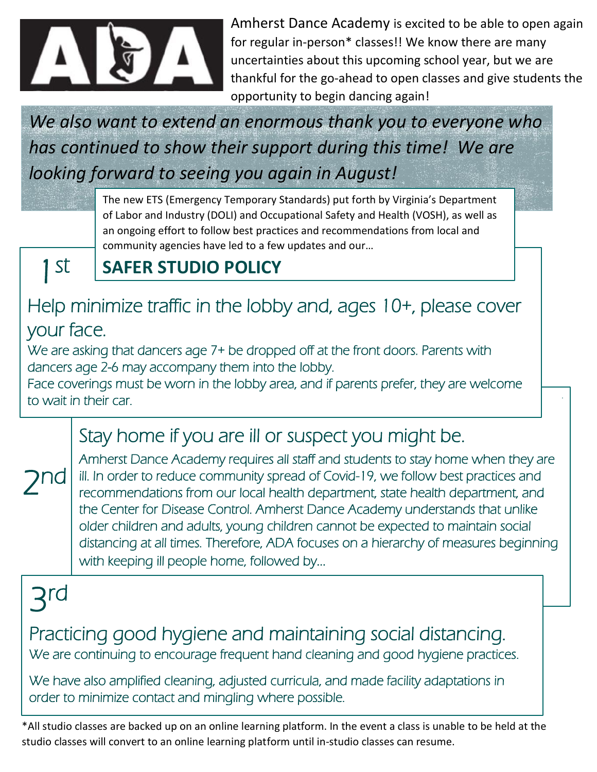

Amherst Dance Academy is excited to be able to open again for regular in-person\* classes!! We know there are many uncertainties about this upcoming school year, but we are thankful for the go-ahead to open classes and give students the opportunity to begin dancing again!

> $\overline{a}$ .

*We also want to extend an enormous thank you to everyone who has continued to show their support during this time! We are looking forward to seeing you again in August!*

> The new ETS (Emergency Temporary Standards) put forth by Virginia's Department of Labor and Industry (DOLI) and Occupational Safety and Health (VOSH), as well as an ongoing effort to follow best practices and recommendations from local and community agencies have led to a few updates and our…

1 st

 $\overline{a}$ 

2

### **SAFER STUDIO POLICY**

### Help minimize traffic in the lobby and, ages 10+, please cover your face.

We are asking that dancers age 7+ be dropped off at the front doors. Parents with dancers age 2-6 may accompany them into the lobby.

 $\overline{a}$ Face coverings must be worn in the lobby area, and if parents prefer, they are welcome to wait in their car.

## Stay home if you are ill or suspect you might be.

Amherst Dance Academy requires all staff and students to stay home when they are ill. In order to reduce community spread of Covid-19, we follow best practices and recommendations from our local health department, state health department, and the Center for Disease Control. Amherst Dance Academy understands that unlike older children and adults, young children cannot be expected to maintain social distancing at all times. Therefore, ADA focuses on a hierarchy of measures beginning with keeping ill people home, followed by… nd

3 rd

Practicing good hygiene and maintaining social distancing. We are continuing to encourage frequent hand cleaning and good hygiene practices.

We have also amplified cleaning, adjusted curricula, and made facility adaptations in order to minimize contact and mingling where possible.

\*All studio classes are backed up on an online learning platform. In the event a class is unable to be held at the studio classes will convert to an online learning platform until in-studio classes can resume.